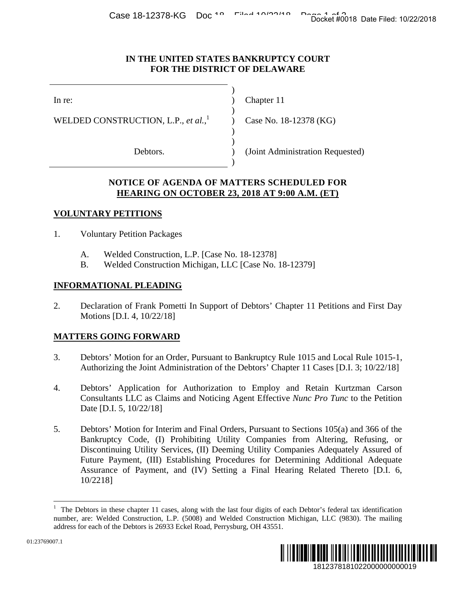#### **IN THE UNITED STATES BANKRUPTCY COURT FOR THE DISTRICT OF DELAWARE**

 $\lambda$ )

In re: (a) Chapter 11

WELDED CONSTRUCTION, L.P., *et al.*, 1

Debtors. (Joint Administration Requested)  $)$ 

 $)$ 

 $)$ 

 $)$ 

Case No. 18-12378 (KG)

## **NOTICE OF AGENDA OF MATTERS SCHEDULED FOR HEARING ON OCTOBER 23, 2018 AT 9:00 A.M. (ET)**

# **VOLUNTARY PETITIONS**

- 1. Voluntary Petition Packages
	- A. Welded Construction, L.P. [Case No. 18-12378]
	- B. Welded Construction Michigan, LLC [Case No. 18-12379]

### **INFORMATIONAL PLEADING**

2. Declaration of Frank Pometti In Support of Debtors' Chapter 11 Petitions and First Day Motions [D.I. 4, 10/22/18]

### **MATTERS GOING FORWARD**

- 3. Debtors' Motion for an Order, Pursuant to Bankruptcy Rule 1015 and Local Rule 1015-1, Authorizing the Joint Administration of the Debtors' Chapter 11 Cases [D.I. 3; 10/22/18]
- 4. Debtors' Application for Authorization to Employ and Retain Kurtzman Carson Consultants LLC as Claims and Noticing Agent Effective *Nunc Pro Tunc* to the Petition Date [D.I. 5, 10/22/18]
- 5. Debtors' Motion for Interim and Final Orders, Pursuant to Sections 105(a) and 366 of the Bankruptcy Code, (I) Prohibiting Utility Companies from Altering, Refusing, or Discontinuing Utility Services, (II) Deeming Utility Companies Adequately Assured of Future Payment, (III) Establishing Procedures for Determining Additional Adequate Assurance of Payment, and (IV) Setting a Final Hearing Related Thereto [D.I. 6, 10/2218] 1812378181022000000000019 Docket #0018 Date Filed: 10/22/2018

<sup>1</sup> The Debtors in these chapter 11 cases, along with the last four digits of each Debtor's federal tax identification number, are: Welded Construction, L.P. (5008) and Welded Construction Michigan, LLC (9830). The mailing address for each of the Debtors is 26933 Eckel Road, Perrysburg, OH 43551.



1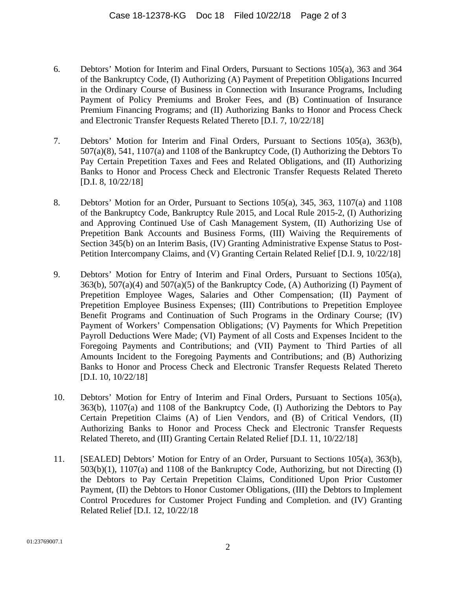- 6. Debtors' Motion for Interim and Final Orders, Pursuant to Sections 105(a), 363 and 364 of the Bankruptcy Code, (I) Authorizing (A) Payment of Prepetition Obligations Incurred in the Ordinary Course of Business in Connection with Insurance Programs, Including Payment of Policy Premiums and Broker Fees, and (B) Continuation of Insurance Premium Financing Programs; and (II) Authorizing Banks to Honor and Process Check and Electronic Transfer Requests Related Thereto [D.I. 7, 10/22/18]
- 7. Debtors' Motion for Interim and Final Orders, Pursuant to Sections 105(a), 363(b), 507(a)(8), 541, 1107(a) and 1108 of the Bankruptcy Code, (I) Authorizing the Debtors To Pay Certain Prepetition Taxes and Fees and Related Obligations, and (II) Authorizing Banks to Honor and Process Check and Electronic Transfer Requests Related Thereto [D.I. 8, 10/22/18]
- 8. Debtors' Motion for an Order, Pursuant to Sections 105(a), 345, 363, 1107(a) and 1108 of the Bankruptcy Code, Bankruptcy Rule 2015, and Local Rule 2015-2, (I) Authorizing and Approving Continued Use of Cash Management System, (II) Authorizing Use of Prepetition Bank Accounts and Business Forms, (III) Waiving the Requirements of Section 345(b) on an Interim Basis, (IV) Granting Administrative Expense Status to Post-Petition Intercompany Claims, and (V) Granting Certain Related Relief [D.I. 9, 10/22/18]
- 9. Debtors' Motion for Entry of Interim and Final Orders, Pursuant to Sections 105(a),  $363(b)$ ,  $507(a)(4)$  and  $507(a)(5)$  of the Bankruptcy Code, (A) Authorizing (I) Payment of Prepetition Employee Wages, Salaries and Other Compensation; (II) Payment of Prepetition Employee Business Expenses; (III) Contributions to Prepetition Employee Benefit Programs and Continuation of Such Programs in the Ordinary Course; (IV) Payment of Workers' Compensation Obligations; (V) Payments for Which Prepetition Payroll Deductions Were Made; (VI) Payment of all Costs and Expenses Incident to the Foregoing Payments and Contributions; and (VII) Payment to Third Parties of all Amounts Incident to the Foregoing Payments and Contributions; and (B) Authorizing Banks to Honor and Process Check and Electronic Transfer Requests Related Thereto [D.I. 10, 10/22/18]
- 10. Debtors' Motion for Entry of Interim and Final Orders, Pursuant to Sections 105(a), 363(b), 1107(a) and 1108 of the Bankruptcy Code, (I) Authorizing the Debtors to Pay Certain Prepetition Claims (A) of Lien Vendors, and (B) of Critical Vendors, (II) Authorizing Banks to Honor and Process Check and Electronic Transfer Requests Related Thereto, and (III) Granting Certain Related Relief [D.I. 11, 10/22/18]
- 11. [SEALED] Debtors' Motion for Entry of an Order, Pursuant to Sections 105(a), 363(b), 503(b)(1), 1107(a) and 1108 of the Bankruptcy Code, Authorizing, but not Directing (I) the Debtors to Pay Certain Prepetition Claims, Conditioned Upon Prior Customer Payment, (II) the Debtors to Honor Customer Obligations, (III) the Debtors to Implement Control Procedures for Customer Project Funding and Completion. and (IV) Granting Related Relief [D.I. 12, 10/22/18